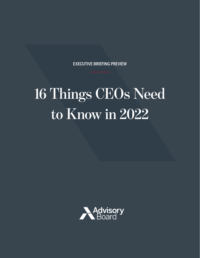EXECUTIVE BRIEFING PREVIEW

# **16 Things CEOs Need to Know in 2022**

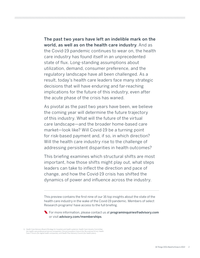The past two years have left an indelible mark on the world, as well as on the health care industry. And as the Covid-19 pandemic continues to wear on, the health care industry has found itself in an unprecedented state of flux. Long-standing assumptions about utilization, demand, consumer preference, and the regulatory landscape have all been challenged. As a result, today's health care leaders face many strategic decisions that will have enduring and far-reaching implications for the future of this industry, even after the acute phase of the crisis has waned.

As pivotal as the past two years have been, we believe the coming year will determine the future trajectory of this industry. What will the future of the virtual care landscape—and the broader home-based care market—look like? Will Covid-19 be a turning point for risk-based payment and, if so, in which direction? Will the health care industry rise to the challenge of addressing persistent disparities in health outcomes?

This briefing examines which structural shifts are most important, how those shifts might play out, what steps leaders can take to inflect the direction and pace of change, and how the Covid-19 crisis has shifted the dynamics of power and influence across the industry.

For more information, please contact us at [programinquiries@advisory.com](mailto:programinquiries%40advisory.com?subject=) or visit [advisory.com/memberships](https://www.advisory.com/memberships).

This preview contains the first nine of our 16 top insights about the state of the health care industry in the wake of the Covid-19 pandemic. Members of select Research programs<sup>1</sup> have access to the full briefing.

<sup>1)</sup> Health Care Advisory Board (Strategy for hospitals and health systems), Health Care Industry Committee<br>(for health care professional service companies), Clinical Innovators Council (for life sciences firms), Health<br>Care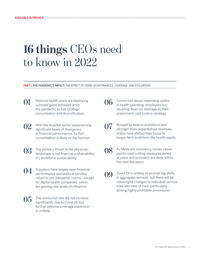## **16 things** CEOs need to know in 2022

PART I. THE PANDEMIC'S IMPACT: THE EFFECT OF COVID-19 ON FINANCES, COVERAGE, AND UTILIZATION

- **01** [National health plans are deploying](#page-4-0)  outsized gains achieved amid the pandemic to fuel strategic consolidation and diversification.
- **02** With the hospital sector experiencing significant levels of divergence in financial performance, further consolidation is likely on the horizon.
- **03** The primary threat to the physician<br>
landscape is not financial sustainability, it's workforce sustainability.
- **04** Suppliers have largely seen financial performance and political scrutiny [return to pre-pandemic norms—except](#page-10-0)  for digital health companies, which are gaining new levels of influence.
- $05$  The uninsured rate did not increase significantly due to Covid-19, but [further national coverage expansion](#page-12-0)  is unlikely.
- **06** [Concerned about impending spikes](#page-14-0) in health spending, employers are doubling down on steerage as their preeminent cost control-strategy.
- **07** Buoyed by federal assistance and stronger-than-expected tax revenues, states have shifted their focus to [longer-term ambitions like health equity.](#page-16-0)
- **08** As Medicare insolvency inches closer, painful cost-cutting measures aimed [at plans and providers are likely within](#page-18-0)  the next few years.
- **09** Covid-19 is unlikely to prompt big shifts in aggregate demand, but there will be [meaningful changes to individual service](#page-20-0)  lines and sites of care, particularly among highly profitable procedures.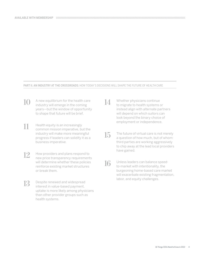#### PART II. AN INDUSTRY AT THE CROSSROADS: HOW TODAY'S DECISIONS WILL SHAPE THE FUTURE OF HEALTH CARE

- **10** A new equilibrium for the health care industry will emerge in the coming years—but the window of opportunity to shape that future will be brief.
- 11 Health equity is an increasingly<br>
common mission imperative, but the industry will make more meaningful progress if leaders can solidify it as a business imperative.
- 12 How providers and plans respond to new price transparency requirements will determine whether these policies reinforce existing market structures or break them.
- 13 Despite renewed and widespread interest in value-based payment, uptake is more likely among physicians than other provider groups such as health systems.
- 14 Whether physicians continue<br>to migrate to health systems or instead align with alternate partners will depend on which suitors can look beyond the binary choice of employment or independence.
- $\displaystyle 15$  The future of virtual care is not merely a question of how much, but of whom: third parties are working aggressively to chip away at the lead local providers have gained.
- 16 Unless leaders can balance speedto-market with intentionality, the burgeoning home-based care market will exacerbate existing fragmentation, labor, and equity challenges.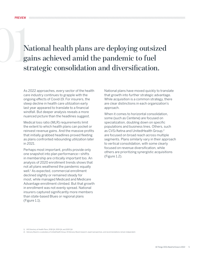# <span id="page-4-0"></span>01**National health plans are deploying outsized strategic consolidation and diversification. gains achieved amid the pandemic to fuel**

As 2022 approaches, every sector of the health care industry continues to grapple with the ongoing effects of Covid-19. For insurers, the steep decline in health care utilization early last year appeared to translate to a financial windfall. But deeper analysis reveals a more nuanced picture than the headlines suggest.

Medical loss ratio (MLR) requirements limit the extent to which health plans can pocket or reinvest revenue gains. And the massive profits that initially grabbed headlines proved fleeting as plans confronted rebounding utilization later in 2021.

Perhaps most important, profits provide only one snapshot into plan performance—shifts in membership are critically important too. An analysis of 2020 enrollment trends shows that not all plans weathered the pandemic equally well.1 As expected, commercial enrollment declined slightly or remained steady for most, while managed Medicaid and Medicare Advantage enrollment climbed. But that growth in enrollment was not evenly spread. National insurers captured significantly more members than state-based Blues or regional plans (Figure 1.1).

National plans have moved quickly to translate that growth into further strategic advantage. While acquisition is a common strategy, there are clear distinctions in each organization's approach.

When it comes to horizontal consolidation, some (such as Centene) are focused on specialization, doubling down on specific populations and business lines. Others, such as CVS/Aetna and UnitedHealth Group,<sup>2</sup> are focused on broad reach across multiple segments. Plans similarly vary in their approach to vertical consolidation, with some clearly focused on revenue diversification, while others are prioritizing synergistic acquisitions (Figure 1.2).

1) AIS Directory of Health Plans, 2018 Q4, 2019 Q4, and 2020 Q4.

<sup>2)</sup> Advisory Board is a subsidiary of UnitedHealth Group. All Advisory Board research, expert perspectives, and recommendations remain independent.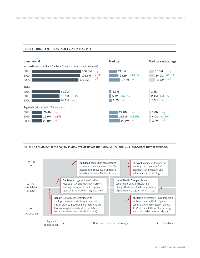#### FIGURE 1.1: TOTAL HEALTH PLAN ENROLLMENT BY PLAN TYPE



FIGURE 1.2: RELATIVE CURRENT CONSOLIDATION STRATEGIES OF THE NATIONAL HEALTH PLANS—AND WHERE THEY'RE TRENDING

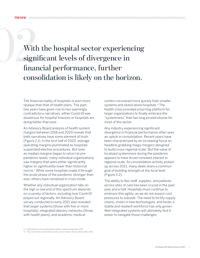<span id="page-6-0"></span>02**With the hospital sector experiencing significant levels of divergence in financial performance, further consolidation is likely on the horizon.**

The financial reality of hospitals is even more opaque than that of health plans. The past two years have given rise to two seemingly contradictory narratives: either Covid-19 was disastrous for hospital finances or hospitals are doing better than ever.

An Advisory Board analysis of health system margins between 2018 and 2020 reveals that both narratives have some element of truth (Figure 2.1). In the first half of 2020, average operating margins plummeted as hospitals suspended elective procedures. But even as median margins began to return to prepandemic levels, many individual organizations saw margins that were either significantly higher or significantly lower than historical norms.3 While some hospitals made it through the acute phase of the pandemic stronger than ever, others have remained in crisis mode.

Whether any individual organization falls on the high or low end of this spectrum depends on a variety of factors, including how Covid-19 played out regionally. An Advisory Board survey conducted in early 2021 also revealed that larger systems (those with five or more hospitals), integrated delivery networks (those with health plans), and academic medical

centers recovered more quickly than smaller systems and stand-alone hospitals.4 The health crisis provided a burning platform for larger organizations to finally embrace the "systemness" that has long proved elusive for most of the sector.

Any industry experiencing significant divergence in financial performance often sees an uptick in consolidation. Recent years have been characterized by an increasing focus on headline-grabbing mega-mergers designed to build cross-regional scale. But the value of localized systemness during the pandemic appears to have driven renewed interest in regional scale. As consolidation activity picked up across 2021, many deals share a common goal of building strength at the local level (Figure 2.2).

The ability to flex staff, supplies, and patients across sites of care has been crucial in the past year and a half. Hospitals must continue to embrace this agility, as we do not expect cost pressures to subside. The need to fortify supply chains, invest in new technologies, and foster a stable and resilient workforce has only grown. Well-integrated systems will ultimately find it easier to navigate those challenges.

3) Health Systems Financials (Quarterly), Modern Healthcare, September 2021.

<sup>4)</sup> "How Covid-19 has impacted 2021 provider volume outlooks," Advisory Board, March 2021.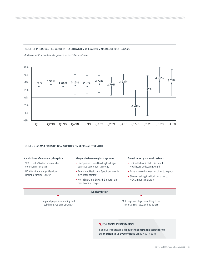#### FIGURE 2.1: INTERQUARTILE RANGE IN HEALTH SYSTEM OPERATING MARGINS, Q1 2018–Q4 2020

*Modern Healthcare health system financials database*



#### FIGURE 2.2: AS M&A PICKS UP, DEALS CENTER ON REGIONAL STRENGTH

#### Acquisitions of community hospitals

- WVU Health System acquires two community hospitals
- HCA Healthcare buys Meadows Regional Medical Center

#### Mergers between regional systems

- LifeSpan and Care New England sign definitive agreement to merge
- Beaumont Health and Spectrum Health sign letter of intent
- NorthShore and Edward-Elmhurst plan nine-hospital merger

Deal ambition

#### Divestitures by national systems

- HCA sells hospitals to Piedmont Healthcare and AdventHealth
- Ascension sells seven hospitals to Aspirus
- Steward selling five Utah hospitals to HCA's mountain division

Regional players expanding and solidifying regional strength

Multi-regional players doubling down in certain markets, ceding others

#### **N** FOR MORE INFORMATION

See our infographic [Weave these threads together to](https://www.advisory.com/Topics/Systemness/2021/06/Weave-these-threads-together-to-strengthen-your-systemness)  [strengthen your systemness](https://www.advisory.com/Topics/Systemness/2021/06/Weave-these-threads-together-to-strengthen-your-systemness) on advisory.com.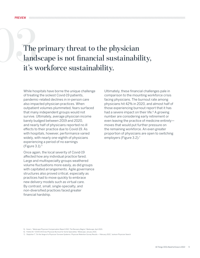## <span id="page-8-0"></span>The primary threat to the physician landscape is not financial sustainabilit's workforce sustainability. **landscape is not financial sustainability, it's workforce sustainability.**

While hospitals have borne the unique challenge of treating the sickest Covid-19 patients, pandemic-related declines in in-person care also impacted physician practices. When outpatient volumes plummeted, fears surfaced that many independent groups would not survive. Ultimately, average physician income barely budged between 2019 and 2020, and nearly half of physicians reported no ill effects to their practice due to Covid-19. As with hospitals, however, performance varied widely, with nearly one-eighth of physicians experiencing a period of no earnings (Figure 3.1).5

Once again, the local severity of Covid-19 affected how any individual practice fared. Large and multispecialty groups weathered volume fluctuations more easily, as did groups with capitated arrangements. Agile governance structures also proved critical, especially as practices had to move quickly to embrace new delivery models such as virtual care. By contrast, small, single-specialty, and non-diversified practices faced greater financial hardship.

Ultimately, these financial challenges pale in comparison to the mounting workforce crisis facing physicians. The burnout rate among physicians hit 42% in 2020, and almost half of those experiencing burnout report that it has had a severe impact on their life.<sup>6</sup> A growing number are considering early retirement or even leaving the practice of medicine entirely moves that would put further pressure on the remaining workforce. An even greater proportion of physicians are open to switching employers (Figure 3.2).<sup>7</sup>

<sup>5)</sup> Kane L, "Medscape Physician Compensation Report 2021: The Recovery Begins," Medscape, April 2021.

<sup>6)</sup> Frellick M, "COVID-19 Drives Physician Burnout for Some Specialties," Medscape, January 2021.

<sup>7)</sup> Stajduhar T, "On the Verge of a Physician Turnover Epidemic: Physician Retention Survey Results — February 2021," Jackson Physician Search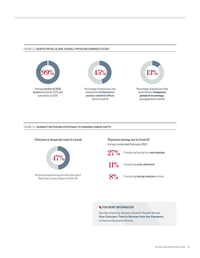#### FIGURE 3.1: DESPITE INITIAL ALARM, OVERALL PHYSICIAN EARNINGS STEADY



FIGURE 3.2: BURNOUT MOTIVATING PHYSICIANS TO CONSIDER CAREER SHIFTS



Physicians experiencing burnout who report that it has a severe impact on their life

*Survey conducted February 2021*



27% Considering leaving for a new employer



11% Considering early retirement



8% Considering leaving medicine entirely

#### **N** FOR MORE INFORMATION

See the article by Advisory Board's Rachel Woods, [Give Clinicians Time to Recover from the Pandemic](https://hbr.org/2021/05/give-clinicians-time-to-recover-from-the-pandemic), in Harvard Business Review.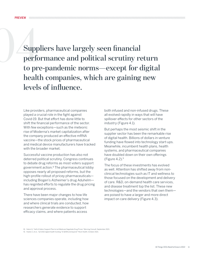<span id="page-10-0"></span>Suppliers have largely seen financial **performance and political scrutiny return to pre-pandemic norms—except for digital health companies, which are gaining new levels of influence.**

Like providers, pharmaceutical companies played a crucial role in the fight against Covid-19. But that effort has done little to shift the financial performance of the sector. With few exceptions—such as the meteoric rise of Moderna's market capitalization after the company produced an effective mRNA vaccine—the stock prices of pharmaceutical and medical device manufacturers have tracked with the broader market.

Successful vaccine production has also not deterred political scrutiny. Congress continues to debate drug reforms as most voters support government action.8 The pharmaceutical lobby opposes nearly all proposed reforms, but the high-profile rollout of pricey pharmaceuticals including Biogen's Alzheimer's drug Aduhelm has reignited efforts to regulate the drug pricing and approval process.

There have been major changes to how life sciences companies operate, including how and where clinical trials are conducted, how researchers generate evidence to support efficacy claims, and where patients access

both infused and non-infused drugs. These all evolved rapidly in ways that will have spillover effects for other sectors of the industry (Figure 4.1).

But perhaps the most seismic shift in the supplier sector has been the remarkable rise of digital health. Billions of dollars in venture funding have flowed into technology start-ups. Meanwhile, incumbent health plans, health systems, and pharmaceutical companies have doubled down on their own offerings (Figure  $4.2$ ). $9$ 

The focus of these investments has evolved as well. Attention has shifted away from nonclinical technologies such as IT and wellness to those focused on the development and delivery of care. R&D, on-demand health care services, and disease treatment top the list. These new technologies—and the vendors that own them are poised to have a larger and more direct impact on care delivery (Figure 4.3).

8) Galvin G, "Half of Voters Support Plan to Let Medicare Negotiate Drug Prices," Morning Consult, September 2021.

9) Hawks C, et al., "Q3 2021 digital health funding: To \$20B and beyond!" Rock Health, October 2021.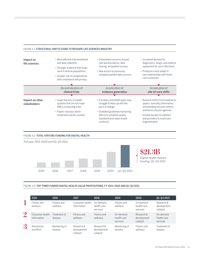#### FIGURE 4.1: STRUCTURAL SHIFTS STAND TO RESHAPE LIFE SCIENCES INDUSTRY

| Impact on<br>life sciences:      | • More efficient trial enrollment<br>and data collection<br>• Stronger evidence that drugs<br>work in diverse populations<br>• Greater risk of complications<br>with compliance and privacy | • Diminished concerns around<br>real-world evidence, data<br>sharing, and patient privacy<br>• New access to previously<br>untapped patient-data sources | • Increased demand for<br>diagnostics, drugs, and medical<br>equipment for use in the home<br>• Producers must adapt to<br>new relationships with home<br>care customers |  |
|----------------------------------|---------------------------------------------------------------------------------------------------------------------------------------------------------------------------------------------|----------------------------------------------------------------------------------------------------------------------------------------------------------|--------------------------------------------------------------------------------------------------------------------------------------------------------------------------|--|
|                                  | Decentralization of<br>clinical trials                                                                                                                                                      | Acceleration of<br>evidence generation                                                                                                                   | Acceleration of<br>site-of-care shifts                                                                                                                                   |  |
| Impact on other<br>stakeholders: | • Lower barriers to health<br>systems that are not major<br>AMCs conducting trials                                                                                                          | • Providers and health plans may<br>struggle to keep up with the<br>pace of change                                                                       | • Revenue shifts from hospitals to<br>payers, specialty pharmacies,<br>freestanding infusion centers,                                                                    |  |
|                                  | • Payers reassess which<br>treatments will be covered                                                                                                                                       | • Outdated guidelines hamstring<br>efforts to establish quality<br>standards and value-based<br>contracts                                                | and home infusion agencies<br>• Greater burden on patients<br>and providers to avoid care<br>fragmentation                                                               |  |

#### FIGURE 4.2: TOTAL VENTURE FUNDING FOR DIGITAL HEALTH



FIGURE 4.3: TOP THREE FUNDED DIGITAL HEALTH VALUE PROPOSITIONS, FY 2015–2020 AND Q1–Q3 2021

|                 | 2015                           | 2016                     | 2017                                  | 2018                                  | 2019                                 | 2020                                  | Q1-Q3 2021                            |
|-----------------|--------------------------------|--------------------------|---------------------------------------|---------------------------------------|--------------------------------------|---------------------------------------|---------------------------------------|
|                 | Fitness and<br>wellness        | Fitness and<br>wellness  | Consumer health<br>information        | On-demand<br>health care<br>services  | Fitness and<br>wellness              | On-demand<br>health care<br>services  | Research &<br>development<br>catalyst |
| $\overline{2}$  | Consumer health<br>information | Treatment of<br>disease  | Fitness and<br>wellness               | Fitness and<br>wellness               | On-demand<br>health care<br>services | Research &<br>development<br>catalyst | On-demand<br>health care<br>services  |
| $3\overline{)}$ | Nonclinical<br>workflow        | Monitoring of<br>disease | Research &<br>development<br>catalyst | Research &<br>development<br>catalyst | Monitoring of<br>disease             | Fitness and<br>wellness               | Treatment of<br>disease               |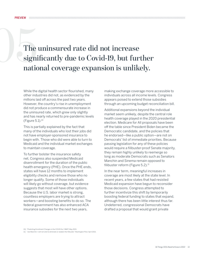# <span id="page-12-0"></span>The uninsured rate did not increase<br>
significantly due to Covid-19, but furthe<br>
national coverage expansion is unlikely. **significantly due to Covid-19, but further**

While the digital health sector flourished, many other industries did not, as evidenced by the millions laid off across the past two years. However, the country's rise in unemployment did not produce a commensurate increase in the uninsured rate, which grew only slightly and has nearly returned to pre-pandemic levels (Figure 5.1).10

This is partially explained by the fact that many of the individuals who lost their jobs did not have employer-sponsored insurance to begin with. Those who did were able to turn to Medicaid and the individual market exchanges to maintain coverage.

To further bolster the insurance safety net, Congress also suspended Medicaid disenrollment for the duration of the public health emergency (PHE). Once the PHE ends, states will have 12 months to implement eligibility checks and remove those who no longer qualify. Some of those individuals will likely go without coverage, but evidence suggests that most will have other options. Because the U.S. labor market is strong, countless employers are trying to attract workers—and boosting benefits to do so. The federal government has also enhanced ACA insurance subsidies for the next two years,

making exchange coverage more accessible to individuals across all income levels. Congress appears poised to extend those subsidies through an upcoming budget reconciliation bill.

Additional expansions beyond the individual market seem unlikely, despite the central role health coverage played in the 2020 presidential election. Medicare for All proposals have been off the table since President Biden became the Democratic candidate, and the policies that he endorsed—like a public option—are not on Democrats' list of immediate priorities. Because passing legislation for any of these policies would require a filibuster-proof Senate majority, they remain highly unlikely to reemerge so long as moderate Democrats such as Senators Manchin and Sinema remain opposed to filibuster reform (Figure  $5.2$ ).<sup>11</sup>

In the near term, meaningful increases in coverage are most likely at the state level. In recent years, a few states that had resisted Medicaid expansion have begun to reconsider those decisions. Congress attempted to further incentivize this shift by temporarily boosting federal funding to states that expand, although there has been little interest thus far. Undeterred, congressional Democrats have drafted a proposal that would grant private

10) "Predicting Enrollment Changes in the COVID Era," MMIT, May 2021.

11) "Joe Manchin: I will not vote to eliminate or weaken the filibuster," Washington Post, April 2021.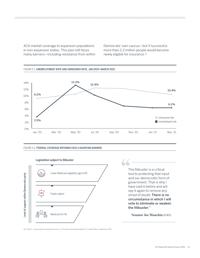ACA market coverage to expansion populations in non-expansion states. This plan still faces many barriers—including resistance from within Democrats' own caucus—but if successful, more than 2.2 million people would become newly eligible for insurance.12



FIGURE 5.2: FEDERAL COVERAGE REFORMS FACE A DAUNTING BARRIER



Legislation subject to filibuster

The filibuster is a critical tool to protecting that input and our democratic form of government. That is why I have said it before and will say it again to remove any shred of doubt: There is no circumstance in which I will vote to eliminate or weaken the filibuster."

**Senator Joe Manchin** (D-WV)

12) Keith K, "Unpacking the Coverage Provisions in The House's Build Back Better Act," Health Affairs, September 2021.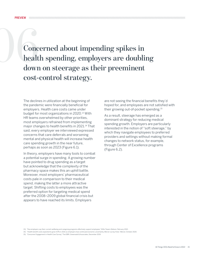## <span id="page-14-0"></span>06**Concerned about impending spikes in health spending, employers are doubling down on steerage as their preeminent cost-control strategy.**

The declines in utilization at the beginning of the pandemic were financially beneficial for employers. Health care costs came under budget for most organizations in 2020.13 With HR teams overwhelmed by other priorities, most employers refrained from implementing major changes to health benefits in 2021.<sup>14</sup> That said, every employer we interviewed expressed concerns that care deferrals and worsening mental and physical health will increase health care spending growth in the near future, perhaps as soon as 2023 (Figure 6.1).

In theory, employers have many tools to combat a potential surge in spending. A growing number have pointed to drug spending as a target but acknowledge that the complexity of the pharmacy space makes this an uphill battle. Moreover, most employers' pharmaceutical costs pale in comparison to their medical spend, making the latter a more attractive target. Shifting costs to employees was the preferred option for targeting medical spend after the 2008–2009 global financial crisis but appears to have reached its limits. Employers

are not seeing the financial benefits they'd hoped for, and employees are not satisfied with their growing out-of-pocket spending.15

As a result, steerage has emerged as a dominant strategy for reducing medical spending growth. Employers are particularly interested in the notion of "soft steerage," by which they navigate employees to preferred providers and settings without making formal changes to network status, for example, through Center of Excellence programs (Figure 6.2).

13) "Few employers say their current wellbeing and caregiving programs effectively support employees," Willis Towers Watson, February 2021.

14) "Health benefit costs expected to grow 4.4% in 2021 as employers face continued economic uncertainty, Mercer survey finds," Mercer, October 2020.

15) "Consumer Engagement in Health Care Survey," The EBRI, Greenwald & Associates, December 2019.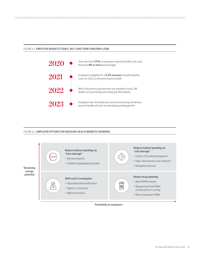#### FIGURE 6.1: EMPLOYER BUDGETS STABLE, BUT LONG-TERM CONCERNS LOOM



#### FIGURE 6.2: EMPLOYER OPTIONS FOR REDUCING HEALTH BENEFITS SPENDING



Palatability to employees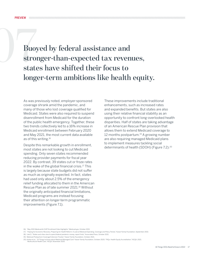<span id="page-16-0"></span>1999999999999999

07**Buoyed by federal assistance and stronger-than-expected tax revenues, states have shifted their focus to longer-term ambitions like health equity.**

As was previously noted, employer-sponsored coverage shrank amid the pandemic, and many of those who lost coverage qualified for Medicaid. States were also required to suspend disenrollment from Medicaid for the duration of the public health emergency. Together, these two trends collectively led to a 16% increase in Medicaid enrollment between February 2020 and May 2021, the most current data available as of this writing.16

Despite this remarkable growth in enrollment, most states are not looking to cut Medicaid spending. Only seven states recommended reducing provider payments for fiscal year 2022. By contrast, 39 states cut or froze rates in the wake of the global financial crisis.17 This is largely because state budgets did not suffer as much as originally expected. In fact, states had used only about 2.5% of the emergency relief funding allocated to them in the American Rescue Plan as of late summer 2021.<sup>18</sup> Without the originally anticipated financial limitations, Medicaid programs are instead focusing their attention on longer-term programmatic improvements (Figure 7.1).

These improvements include traditional enhancements, such as increased rates and expanded benefits. But states are also using their relative financial stability as an opportunity to confront long-overlooked health disparities. Half of states are taking advantage of an American Rescue Plan provision that allows them to extend Medicaid coverage to 12 months postpartum.19 A growing number are also requiring managed Medicaid plans to implement measures tackling social determinants of health (SDOH) (Figure 7.2).20

<sup>16)</sup> "May 2021 Medicaid & CHIP Enrollment Data Highlights," Medicaid.gov, October 2021.

<sup>17)</sup> "Hoping for Economic Recovery, Preparing for Health Reform: A Look at Medicaid Spending, Coverage and Policy Trends," Kaiser Family Foundation, September 2010.

<sup>18)</sup> Lieb D, "States and cities slow to spend federal pandemic money, report finds," Associated Press, October 2021.

<sup>19)</sup> Medicaid Postpartum Coverage Extension Tracker," Kaiser Family Foundation, October 2021.

<sup>20)</sup> Hinton et al., "10 Things to Know about Medicaid Managed Care" Kaiser Family Foundation, October 2020; "FAQs: Health Equity Accreditation," NCQA, 2021; "Multicultural Health Care," NCQA, November 2020.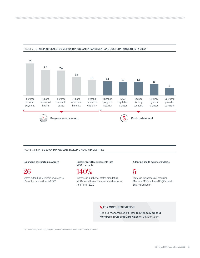

#### FIGURE 7.1: STATE PROPOSALS FOR MEDICAID PROGRAM ENHANCEMENT AND COST CONTAINMENT IN FY 2022<sup>21</sup>

FIGURE 7.2: STATE MEDICAID PROGRAMS TACKLING HEALTH DISPARITIES

Expanding postpartum coverage

**26** 

States extending Medicaid coverage to 12 months postpartum in 2022

Building SDOH requirements into MCO contracts

### **140%**

Increase in number of states mandating MCOs track the outcomes of social services referrals in 2020

Adopting health equity standards



States in the process of requiring Medicaid MCOs achieve NCQA's Health Equity distinction

#### **N** FOR MORE INFORMATION

See our research report [How to Engage Medicaid](https://www.advisory.com/Topics/Health-Plan/2021/06/How-to-Engage-Medicaid-Members-in-Closing-Care-Gaps)  [Members in Closing Care Gaps](https://www.advisory.com/Topics/Health-Plan/2021/06/How-to-Engage-Medicaid-Members-in-Closing-Care-Gaps) on advisory.com.

21) "Fiscal Survey of States, Spring 2021," National Association of State Budget Officers, June 2021.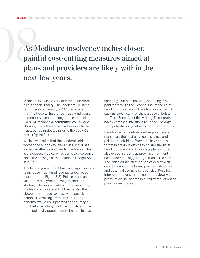# <span id="page-18-0"></span>**1888**<br>As Medicare insolvency inches closer, painful cost-cutting measures aimed at plans and providers are likely within the **painful cost-cutting measures aimed at next few years.**

Medicare is facing a very different, and more dire, financial reality. The Medicare Trustees report released in August 2021 estimated that the Hospital Insurance Trust Fund would become insolvent—no longer able to meet 100% of its financial commitments—by 2026. Notably, this is the same insolvency date the trustees had projected prior to the Covid-19 crisis (Figure 8.1).

While it was relief that the pandemic did not worsen the outlook for the Trust Fund, it has inched another year closer to insolvency. This is the closest Medicare has come to insolvency since the passage of the Balanced Budget Act in 1997.

The federal government has an array of options to increase Trust Fund revenue or decrease expenditures (Figure 8.2). Policies such as value-based payment arrangements and shifting to lower-cost sites of care are among the least controversial, but they're also the slowest to produce savings. More decisive actions, like raising premiums or cutting benefits, would risk upsetting the country's most reliable voting block: senior citizens. Far more politically popular would be cuts to drug

spending. But because drug spending is not paid for through the Hospital Insurance Trust Fund, Congress would have to allocate Part D savings specifically for the purpose of bolstering the Trust Fund. As of this writing, Democrats have expressed intentions to use any savings from potential drug reforms for other priorities.

Reimbursement cuts—to either providers or plans—are the best balance of savings and political palatability. Providers have been a target in previous efforts to bolster the Trust Fund. But Medicare Advantage plans should also expect scrutiny as growing enrollment has made MA a bigger target than in the past. The Biden administration has voiced explicit concerns about the bonus payment structure and potential coding discrepancies. Possible interventions range from continued downward pressure on risk scores to outright reductions to plan payment rates.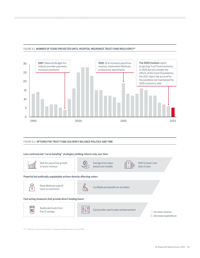#### 



#### FIGURE 8.1: NUMBER OF YEARS PROJECTED UNTIL HOSPITAL INSURANCE TRUST FUND INSOLVENCY<sup>22</sup>

FIGURE 8.2: OPTIONS FOR TRUST FUND SOLVENCY BALANCE POLITICS AND TIME



22) "Medicare: Insolvency Projections," Congressional Research Service, May 2020.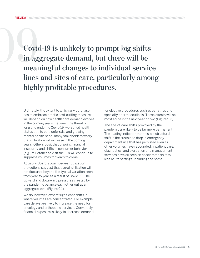<span id="page-20-0"></span>09**Covid-19 is unlikely to prompt big shifts meaningful changes to individual service in aggregate demand, but there will be lines and sites of care, particularly among highly profitable procedures.**

> Ultimately, the extent to which any purchaser has to embrace drastic cost-cutting measures will depend on how health care demand evolves in the coming years. Between the threat of long and endemic Covid-19, worsened health status due to care deferrals, and growing mental health need, many stakeholders worry that utilization will increase in the coming years. Others posit that ongoing financial insecurity and shifts in consumer behavior (e.g., reluctance to visit the ED) will continue to suppress volumes for years to come.

Advisory Board's own five-year utilization projections suggest that overall utilization will not fluctuate beyond the typical variation seen from year to year as a result of Covid-19. The upward and downward pressures created by the pandemic balance each other out at an aggregate level (Figure 9.1).

We do, however, expect significant shifts in where volumes are concentrated. For example, care delays are likely to increase the need for oncology and orthopedic services. Conversely, financial exposure is likely to decrease demand

for elective procedures such as bariatrics and specialty pharmaceuticals. These effects will be most acute in the next year or two (Figure 9.2).

The site-of-care shifts provoked by the pandemic are likely to be far more permanent. The leading indicator that this is a structural shift is the sustained drop in emergency department use that has persisted even as other volumes have rebounded. Inpatient care, diagnostics, and evaluation and management services have all seen an accelerated shift to less acute settings, including the home.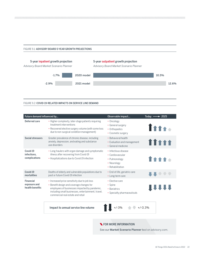#### FIGURE 9.1: ADVISORY BOARD 5-YEAR GROWTH PROJECTIONS



#### FIGURE 9.2: COVID-19-RELATED IMPACTS ON SERVICE LINE DEMAND

| Future demand influenced by                  |                                                                                                                                                                                                                                        | Observable impact                                                                            | Today -<br>> 2025 |
|----------------------------------------------|----------------------------------------------------------------------------------------------------------------------------------------------------------------------------------------------------------------------------------------|----------------------------------------------------------------------------------------------|-------------------|
| Deferred care                                | • Higher-complexity, later-stage patients requiring<br>treatment interventions<br>• Recovered elective surgery volume (with some loss<br>due to non-surgical condition management)                                                     | • Oncology<br>• General surgery<br>• Orthopedics<br>• Cosmetic surgery                       | Ttt+.             |
| Social stressors                             | Greater prevalence of chronic disease, including<br>anxiety, depression, and eating and substance<br>use disorders                                                                                                                     | • Behavioral health<br>• Evaluation and management<br>• General medicine                     | <b>ffttt</b>      |
| Covid-19<br>infections.<br>complications     | • Long-haulers with organ damage and symptomatic<br>illness after recovering from Covid-19<br>• Hospitalizations due to Covid-19 infection                                                                                             | • Infectious disease<br>• Cardiovascular<br>• Pulmonology<br>• Neurology<br>• Rehabilitation |                   |
| Covid-19<br>mortalities                      | Deaths of elderly and vulnerable populations due to<br>past or future Covid-19 infection                                                                                                                                               | • End-of-life, geriatric care<br>• Long-term care                                            |                   |
| Financial<br>exposure and<br>health benefits | • Increased price sensitivity due to job loss<br>• Benefit design and coverage changes for<br>employees of businesses impacted by pandemic,<br>including small businesses, entertainment, travel,<br>commercial real estate and retail | • Elective care<br>• Spine<br>• Bariatrics<br>• Specialty pharmaceuticals                    |                   |
|                                              | Impact to annual service line volume                                                                                                                                                                                                   | $+/-3%$                                                                                      | $+/-0.3%$         |

#### **N** FOR MORE INFORMATION

See our [Market Scenario Planner](https://www.advisory.com/Topics/Market-Analytics-and-Forecasting/2019/05/Market-Scenario-Planner) tool on advisory.com.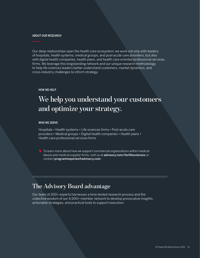#### ABOUT OUR RESEARCH

Our deep relationships span the health care ecosystem; we work not only with leaders of hospitals, health systems, medical groups, and post-acute care providers, but also with digital health companies, health plans, and health care oriented professional services firms. We leverage this longstanding network and our unique research methodology to help life sciences leaders better understand customers, market dynamics, and cross-industry challenges to inform strategy.

#### HOW WE HELP

## **We help you understand your customers and optimize your strategy.**

#### WHO WE SERVE

Hospitals • Health systems • Life sciences firms • Post-acute care providers • Medical groups • Digital health companies • Health plans • Health care professional services firms

 $\blacksquare$  To learn more about how we support commercial organizations within medical device and medical supplier firms, visit us at [advisory.com/forlifesciences](http://advisory.com/forlifesciences) or contact [programinquiries@advisory.com](mailto:programinquiries%40advisory.com?subject=).

### **The Advisory Board advantage**

Our team of 200+ experts harnesses a time-tested research process and the collective wisdom of our 4,500+ member network to develop provocative insights, actionable strategies, and practical tools to support execution.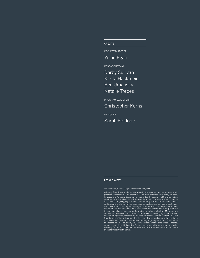#### **CREDITS**

PROJECT DIRECTOR

Yulan Egan

RESEARCH TEAM

Darby Sullivan Kirsta Hackmeier Ben Umansky Natalie Trebes

PROGRAM LEADERSHIP

Christopher Kerns

DESIGNER

Sarah Rindone

#### LEGAL CAVEAT

© 2021 Advisory Board • All rights reserved • advisory.com

Advisory Board has made efforts to verify the accuracy of the information it provides to members. This report relies on data obtained from many sources, however, and Advisory Board cannot guarantee the accuracy of the information provided or any analysis based thereon. In addition, Advisory Board is not in the business of giving legal, medical, accounting, or other professional advice, and its reports should not be construed as professional advice. In particular, members should not rely on any legal commentary in this report as a basis<br>for action, or assume that any tactics described herein would be permitted<br>by applicable law or appropriate for a given member's situation. Members advised to consult with appropriate professionals concerning legal, medical, tax, or accounting issues, before implementing any of these tactics. Neither Advisory Board nor its officers, directors, trustees, employees, and agents shall be liable<br>for any claims, liabilities, or expenses relating to (a) any errors or omissions in<br>this report, whether caused by Advisory Board or any of or sources or other third parties, (b) any recommendation or graded ranking by Advisory Board, or (c) failure of member and its employees and agents to abide by the terms set forth herein.